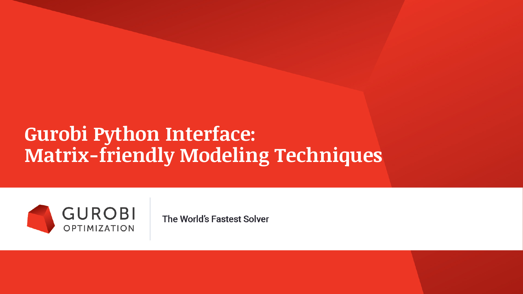## **Gurobi Python Interface: Matrix-friendly Modeling Techniques**



The World's Fastest Solver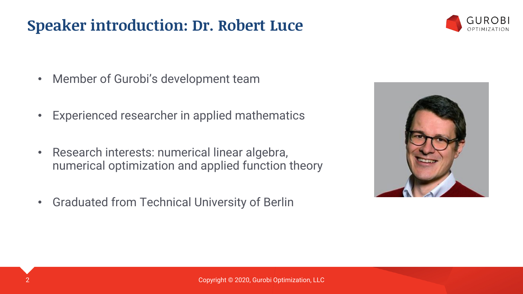#### **Speaker introduction: Dr. Robert Luce**



- Member of Gurobi's development team
- Experienced researcher in applied mathematics
- Research interests: numerical linear algebra, numerical optimization and applied function theory
- Graduated from Technical University of Berlin

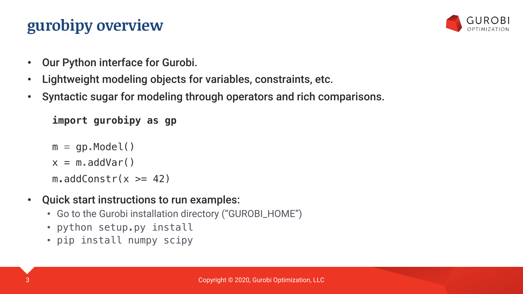### **gurobipy overview**



- Our Python interface for Gurobi.
- Lightweight modeling objects for variables, constraints, etc.
- Syntactic sugar for modeling through operators and rich comparisons.

```
import gurobipy as gp
```

```
m = qp.Model()
```

```
x = m.addVar()
```
 $m.addConstr(x >= 42)$ 

- Quick start instructions to run examples:
	- Go to the Gurobi installation directory ("GUROBI\_HOME")
	- python setup.py install
	- pip install numpy scipy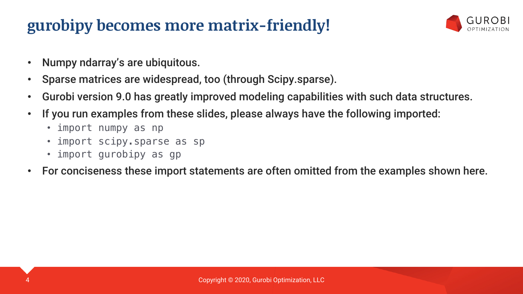### **gurobipy becomes more matrix-friendly!**



- Numpy ndarray's are ubiquitous.
- Sparse matrices are widespread, too (through Scipy.sparse).
- Gurobi version 9.0 has greatly improved modeling capabilities with such data structures.
- If you run examples from these slides, please always have the following imported:
	- import numpy as np
	- import scipy.sparse as sp
	- import gurobipy as gp
- For conciseness these import statements are often omitted from the examples shown here.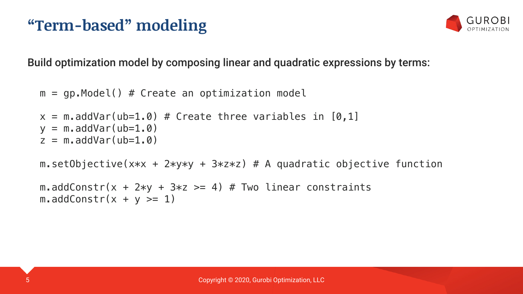### **"Term-based" modeling**



Build optimization model by composing linear and quadratic expressions by terms:

```
m = gp.Model() # Create an optimization model
```

```
x = m.addVar(ub=1.0) # Create three variables in [0,1]y = m.addVar(ub=1.0)z = m.addVar(ub=1.0)
```

```
m.setObjective(x*x + 2*y*y + 3*z*z) # A quadratic objective function
```

```
m.addConstr(x + 2*y + 3*z >= 4) # Two linear constraints
m.addConstruct + y \geq 1)
```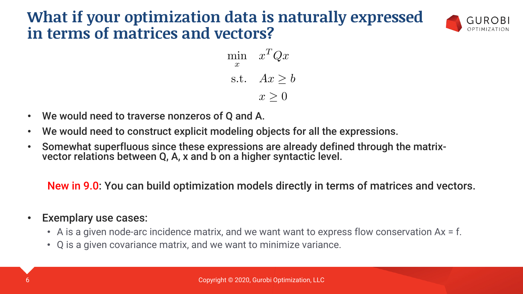#### **What if your optimization data is naturally expressed in terms of matrices and vectors?**



$$
\min_{x} \quad x^T Q x
$$
  
s.t. 
$$
Ax \ge b
$$

$$
x \ge 0
$$

- We would need to traverse nonzeros of Q and A.
- We would need to construct explicit modeling objects for all the expressions.
- Somewhat superfluous since these expressions are already defined through the matrix- vector relations between Q, A, x and b on a higher syntactic level.

New in 9.0: You can build optimization models directly in terms of matrices and vectors.

#### Exemplary use cases:

- A is a given node-arc incidence matrix, and we want want to express flow conservation Ax = f.
- Q is a given covariance matrix, and we want to minimize variance.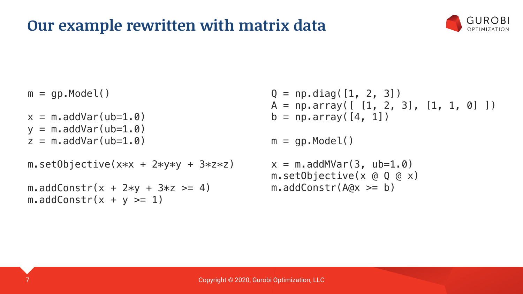#### **Our example rewritten with matrix data**



 $m = gp.Model()$ 

- $x = m.addVar(ub=1, 0)$
- $y = m.addVar(ub=1.0)$
- $z = m$ .addVar(ub=1.0)

```
m.setObjective(x*x + 2*y*y + 3*z*z)
```
 $m.addConstruct + 2*y + 3*z \ge 4)$  $m.addConstruct + y \geq 1)$ 

 $Q = np$ .diag( $[1, 2, 3]$ )  $A = np.array([ [1, 2, 3], [1, 1, 0] ])$  $b = np.array([4, 1])$ 

 $m = gp.Model()$ 

```
x = m.addMVar(3, ub=1.0)m.setObjective(x @ Q @ x)
m.addConstr(A@x \geq b)
```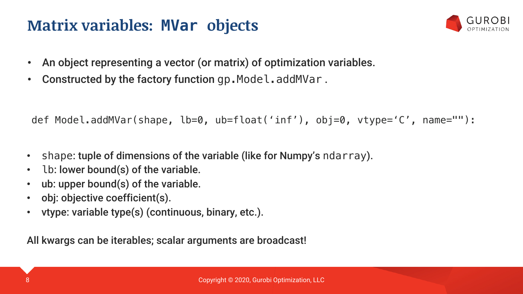#### **Matrix variables: MVar objects**



- An object representing a vector (or matrix) of optimization variables.
- Constructed by the factory function gp. Model.addMVar.

def Model.addMVar(shape, lb=0, ub=float('inf'), obj=0, vtype='C', name=""):

- shape: tuple of dimensions of the variable (like for Numpy's ndarray).
- lb: lower bound(s) of the variable.
- ub: upper bound(s) of the variable.
- obj: objective coefficient(s).
- vtype: variable type(s) (continuous, binary, etc.).

All kwargs can be iterables; scalar arguments are broadcast!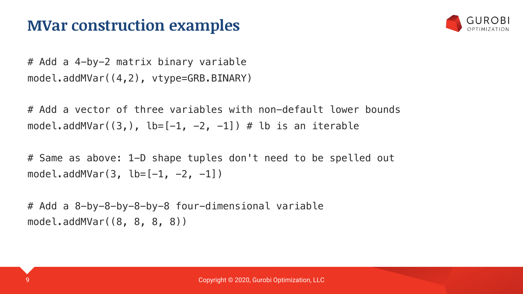#### **MVar construction examples**



# Add a 4-by-2 matrix binary variable model.addMVar((4,2), vtype=GRB.BINARY)

# Add a vector of three variables with non-default lower bounds model.addMVar( $(3,)$ , lb= $[-1, -2, -1]$ ) # lb is an iterable

# Same as above: 1-D shape tuples don't need to be spelled out model.addMVar(3,  $\text{lb}=[-1, -2, -1]$ )

# Add a 8-by-8-by-8-by-8 four-dimensional variable model.addMVar((8, 8, 8, 8))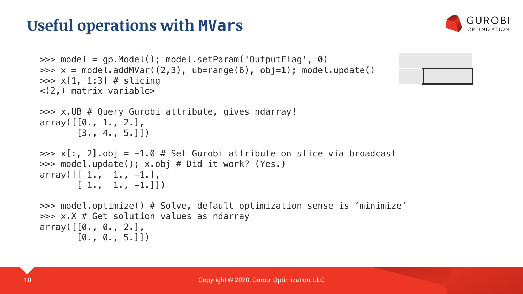### **Useful operations with MVars**



```
>>> model = gp.Model(); model.setParam('OutputFlag', 0)
>>> x = model.addMVar((2,3), ub = range(6), obj=1); model.update()\gg \times [1, 1:3] # slicing
<(2,) matrix variable>
>>> x.UB # Query Gurobi attribute, gives ndarray!
array([0., 1., 2.],[3., 4., 5.]]
\Rightarrow \times [:, 2].obj = -1.0 # Set Gurobi attribute on slice via broadcast
>>> model.update(); x.obj # Did it work? (Yes.)
array([11, 1., -1.],[1., 1., -1.]>>> model.optimize() # Solve, default optimization sense is 'minimize'
>>> x.X # Get solution values as ndarray
array([0., 0., 2.],[0., 0., 5.]
```
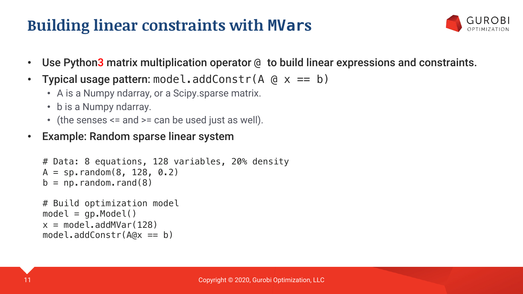### **Building linear constraints with MVars**



- Use Python3 matrix multiplication operator @ to build linear expressions and constraints.
- **Typical usage pattern:** model.addConstr( $A \otimes x == b$ )
	- A is a Numpy ndarray, or a Scipy.sparse matrix.
	- b is a Numpy ndarray.
	- (the senses <= and >= can be used just as well).
- Example: Random sparse linear system

```
# Data: 8 equations, 128 variables, 20% density
A = sp. random(8, 128, 0.2)b = np. random. rand(8)
```

```
# Build optimization model
model = gp.Model()x = model.addMVar(128)model.addConstr(A@x == b)
```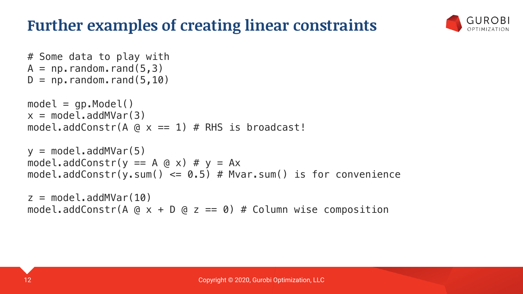#### **Further examples of creating linear constraints**



```
# Some data to play with
A = np.random.randn(5,3)D = np. random. rand(5,10)
model = qp.Model()x = model.addMVar(3)model.addConstr(A \alpha \times == 1) # RHS is broadcast!
y = model.addMVar(5)model.addConstr(y == A \alpha \times) \# y = Axmodel.addConstr(y.sum() \leq 0.5) # Mvar.sum() is for convenience
z = model.addMVar(10)
```
model.addConstr(A  $@ x + D @ z == 0$ ) # Column wise composition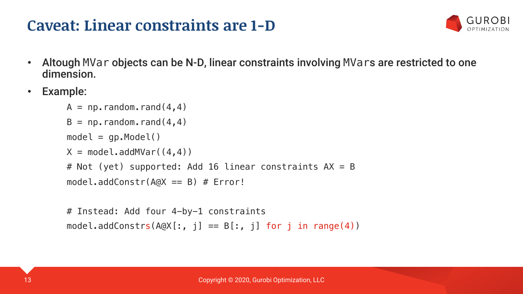#### **Caveat: Linear constraints are 1-D**



- Altough MVar objects can be N-D, linear constraints involving MVars are restricted to one dimension.
- Example:

```
A = np. random. rand(4, 4)B = np. random. rand(4, 4)model = gp.Model()X = model.addMVar((4, 4))# Not (yet) supported: Add 16 linear constraints AX = Bmodel.addConstruct(A<sub>Q</sub>X == B) # Error!
```

```
# Instead: Add four 4-by-1 constraints
model.addConstrs(A@X[:, j] == B[:, j] for j in range(4))
```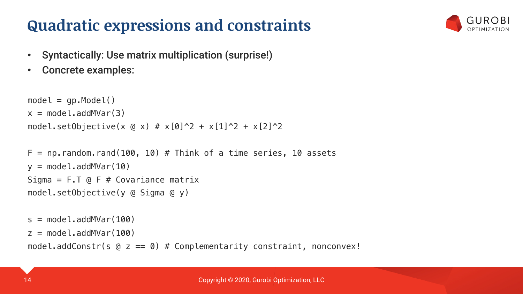#### **Quadratic expressions and constraints**



- Syntactically: Use matrix multiplication (surprise!)
- Concrete examples:

```
model = qp.Model()x = model.addMVar(3)model.setObjective(x @ x) # x[0]^2 + x[1]^2 + x[2]^2
```

```
F = np. random. rand(100, 10) # Think of a time series, 10 assets
v = model.addMVar(10)Sigma = F.T @ F # Covariance matrix
model.setObjective(y @ Sigma @ y)
```

```
s = model.addMVar(100)z = model.addMVar(100)model.addConstr(s @ z == 0) # Complementarity constraint, nonconvex!
```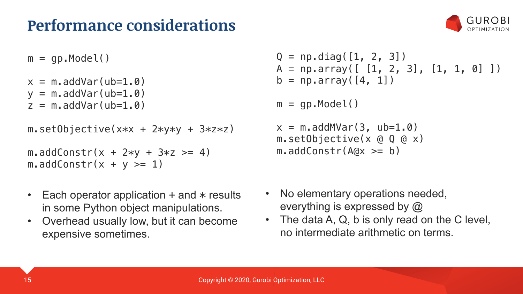#### **Performance considerations**



 $m = gp.Model()$ 

```
x = m.addVar(ub=1, 0)y = m.addVar(ub=1.0)
```

```
z = m.addVar(ub=1.0)
```

```
m.setObjective(x*x + 2*y*y + 3*z*z)
```

```
m.addConstruct + 2*y + 3*z \ge 4)m.addConstr(x + y >= 1)
```
- Each operator application  $+$  and  $*$  results in some Python object manipulations.
- Overhead usually low, but it can become expensive sometimes.

```
Q = np.diag([1, 2, 3])A = np.array([ [1, 2, 3], [1, 1, 0] ])b = np.array([4, 1])
```

```
m = qp.Model()
```

```
x = m.addMVar(3, ub=1.0)m.setObjective(x @ Q @ x)
m.addConstr(A@x \geq b)
```
- No elementary operations needed, everything is expressed by  $\omega$
- The data A, Q, b is only read on the C level, no intermediate arithmetic on terms.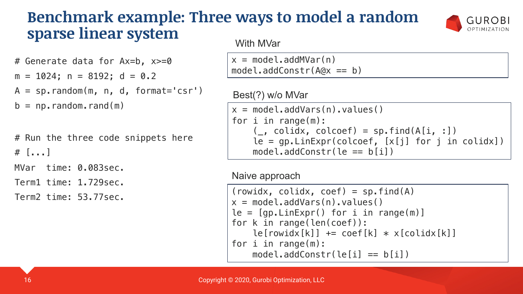#### **Benchmark example: Three ways to model a random sparse linear system**

```
# Generate data for Ax=b, x>=0
m = 1024; n = 8192; d = 0.2A = sp.random(m, n, d, format='csr')b = np. random. rand(m)
```

```
# Run the three code snippets here
# [...]
MVar time: 0.083sec.
```
Term1 time: 1.729sec.

Term2 time: 53.77sec.

#### With MVar

 $x = model.addMVar(n)$  $model.addConstruct(A@x == b)$ 

#### Best(?) w/o MVar

```
x = model.addVars(n), values()for i in range(m):
    (\_, colidx, colcoef) = sp.find(A[i, :])
    le = gp.LinExpr(colcoef, [x[j] for j in coldx])model.addConstruct(e == b[i])
```
GUROBI OPTIMIZATION

#### Naive approach

```
(rowidx, colidx, coef) = sp.find(A)x = model.addVars(n).values()le = [gp.LinExpr() for i in range(m)]for k in range(len(coef)):
    le[rouidx[k]] += coef[k] * x[colidx[k]]for i in range(m):
   model.addConstruct(left] == b[i])
```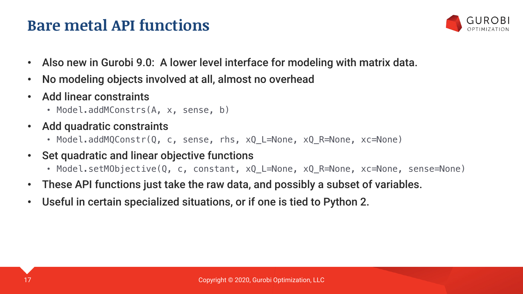#### **Bare metal API functions**



- Also new in Gurobi 9.0: A lower level interface for modeling with matrix data.
- No modeling objects involved at all, almost no overhead
- Add linear constraints
	- Model.addMConstrs(A, x, sense, b)
- Add quadratic constraints
	- Model.addMQConstr(Q, c, sense, rhs, xQ\_L=None, xQ\_R=None, xc=None)
- Set quadratic and linear objective functions
	- Model.setMObjective(Q, c, constant, xQ\_L=None, xQ\_R=None, xc=None, sense=None)
- These API functions just take the raw data, and possibly a subset of variables.
- Useful in certain specialized situations, or if one is tied to Python 2.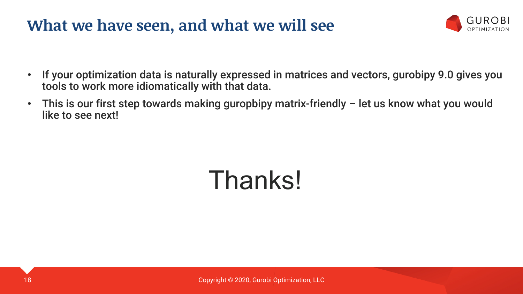#### **What we have seen, and what we will see**



- If your optimization data is naturally expressed in matrices and vectors, gurobipy 9.0 gives you tools to work more idiomatically with that data.
- This is our first step towards making guropbipy matrix-friendly let us know what you would like to see next!

# Thanks!